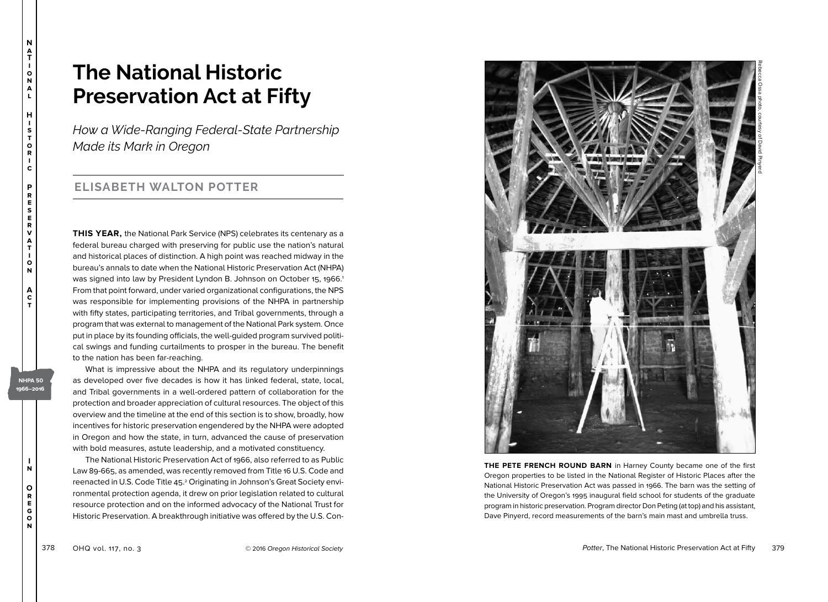# **The National Historic Preservation Act at Fifty**

*How a Wide-Ranging Federal-State Partnership Made its Mark in Oregon*

## **ELISABETH WALTON POTTER**

**THIS YEAR,** the National Park Service (NPS) celebrates its centenary as a federal bureau charged with preserving for public use the nation's natural and historical places of distinction. A high point was reached midway in the bureau's annals to date when the National Historic Preservation Act (NHPA) was signed into law by President Lyndon B. Johnson on October 15, 1966. 1 From that point forward, under varied organizational configurations, the NPS was responsible for implementing provisions of the NHPA in partnership with fifty states, participating territories, and Tribal governments, through a program that was external to management of the National Park system. Once put in place by its founding officials, the well-guided program survived political swings and funding curtailments to prosper in the bureau. The benefit to the nation has been far-reaching.

What is impressive about the NHPA and its regulatory underpinnings as developed over five decades is how it has linked federal, state, local, and Tribal governments in a well-ordered pattern of collaboration for the protection and broader appreciation of cultural resources. The object of this overview and the timeline at the end of this section is to show, broadly, how incentives for historic preservation engendered by the NHPA were adopted in Oregon and how the state, in turn, advanced the cause of preservation with bold measures, astute leadership, and a motivated constituency.

The National Historic Preservation Act of 1966, also referred to as Public Law 89-665, as amended, was recently removed from Title 16 U.S. Code and reenacted in U.S. Code Title 45. 2 Originating in Johnson's Great Society environmental protection agenda, it drew on prior legislation related to cultural resource protection and on the informed advocacy of the National Trust for Historic Preservation. A breakthrough initiative was offered by the U.S. Con-



**THE PETE FRENCH ROUND BARN** in Harney County became one of the first Oregon properties to be listed in the National Register of Historic Places after the National Historic Preservation Act was passed in 1966. The barn was the setting of the University of Oregon's 1995 inaugural field school for students of the graduate program in historic preservation. Program director Don Peting (at top) and his assistant, Dave Pinyerd, record measurements of the barn's main mast and umbrella truss.

**N a T i o n a l**

**H i s t o r i c**

**P r e s e r v a t i o n**

> **A c t**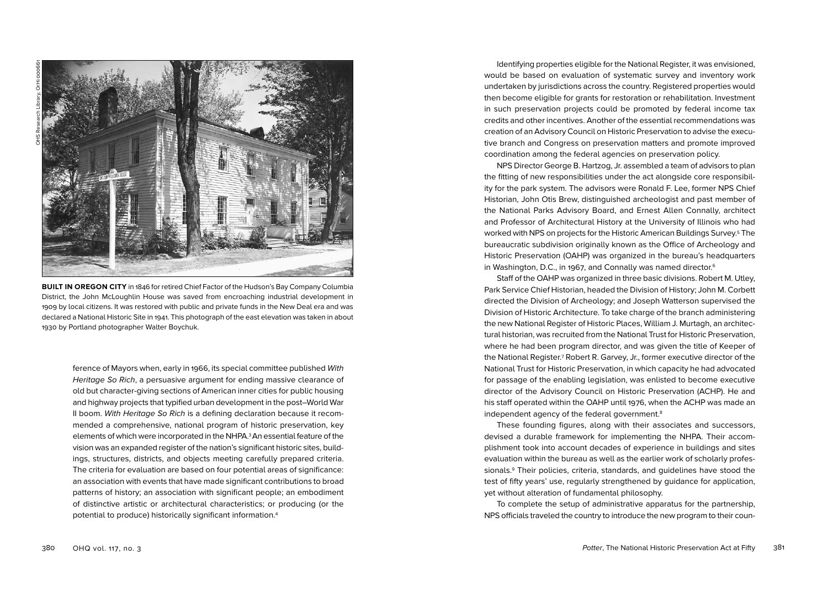

**BUILT IN OREGON CITY** in 1846 for retired Chief Factor of the Hudson's Bay Company Columbia District, the John McLoughlin House was saved from encroaching industrial development in 1909 by local citizens. It was restored with public and private funds in the New Deal era and was declared a National Historic Site in 1941. This photograph of the east elevation was taken in about 1930 by Portland photographer Walter Boychuk.

ference of Mayors when, early in 1966, its special committee published With Heritage So Rich, a persuasive argument for ending massive clearance of old but character-giving sections of American inner cities for public housing and highway projects that typified urban development in the post–World War II boom. With Heritage So Rich is a defining declaration because it recommended a comprehensive, national program of historic preservation, key elements of which were incorporated in the NHPA.3An essential feature of the vision was an expanded register of the nation's significant historic sites, buildings, structures, districts, and objects meeting carefully prepared criteria. The criteria for evaluation are based on four potential areas of significance: an association with events that have made significant contributions to broad patterns of history; an association with significant people; an embodiment of distinctive artistic or architectural characteristics; or producing (or the potential to produce) historically significant information.4

Identifying properties eligible for the National Register, it was envisioned, would be based on evaluation of systematic survey and inventory work undertaken by jurisdictions across the country. Registered properties would then become eligible for grants for restoration or rehabilitation. Investment in such preservation projects could be promoted by federal income tax credits and other incentives. Another of the essential recommendations was creation of an Advisory Council on Historic Preservation to advise the executive branch and Congress on preservation matters and promote improved coordination among the federal agencies on preservation policy.

NPS Director George B. Hartzog, Jr. assembled a team of advisors to plan the fitting of new responsibilities under the act alongside core responsibility for the park system. The advisors were Ronald F. Lee, former NPS Chief Historian, John Otis Brew, distinguished archeologist and past member of the National Parks Advisory Board, and Ernest Allen Connally, architect and Professor of Architectural History at the University of Illinois who had worked with NPS on projects for the Historic American Buildings Survey.5 The bureaucratic subdivision originally known as the Office of Archeology and Historic Preservation (OAHP) was organized in the bureau's headquarters in Washington, D.C., in 1967, and Connally was named director.<sup>6</sup>

Staff of the OAHP was organized in three basic divisions. Robert M. Utley, Park Service Chief Historian, headed the Division of History; John M. Corbett directed the Division of Archeology; and Joseph Watterson supervised the Division of Historic Architecture. To take charge of the branch administering the new National Register of Historic Places, William J. Murtagh, an architectural historian, was recruited from the National Trust for Historic Preservation, where he had been program director, and was given the title of Keeper of the National Register.<sup>7</sup> Robert R. Garvey, Jr., former executive director of the National Trust for Historic Preservation, in which capacity he had advocated for passage of the enabling legislation, was enlisted to become executive director of the Advisory Council on Historic Preservation (ACHP). He and his staff operated within the OAHP until 1976, when the ACHP was made an independent agency of the federal government.8

These founding figures, along with their associates and successors, devised a durable framework for implementing the NHPA. Their accomplishment took into account decades of experience in buildings and sites evaluation within the bureau as well as the earlier work of scholarly professionals.9 Their policies, criteria, standards, and guidelines have stood the test of fifty years' use, regularly strengthened by guidance for application, yet without alteration of fundamental philosophy.

To complete the setup of administrative apparatus for the partnership, NPS officials traveled the country to introduce the new program to their coun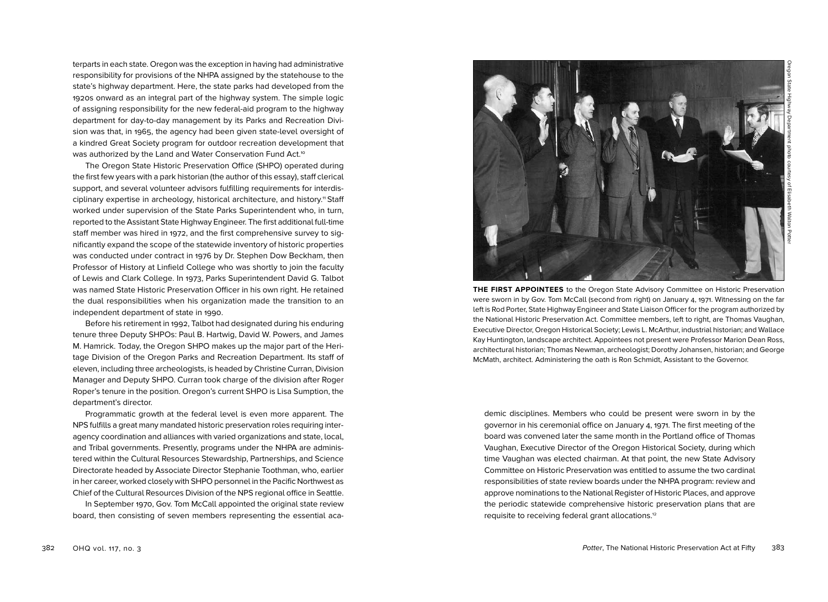terparts in each state. Oregon was the exception in having had administrative responsibility for provisions of the NHPA assigned by the statehouse to the state's highway department. Here, the state parks had developed from the 1920s onward as an integral part of the highway system. The simple logic of assigning responsibility for the new federal-aid program to the highway department for day-to-day management by its Parks and Recreation Division was that, in 1965, the agency had been given state-level oversight of a kindred Great Society program for outdoor recreation development that was authorized by the Land and Water Conservation Fund Act.<sup>10</sup>

The Oregon State Historic Preservation Office (SHPO) operated during the first few years with a park historian (the author of this essay), staff clerical support, and several volunteer advisors fulfilling requirements for interdisciplinary expertise in archeology, historical architecture, and history.<sup>11</sup> Staff worked under supervision of the State Parks Superintendent who, in turn, reported to the Assistant State Highway Engineer. The first additional full-time staff member was hired in 1972, and the first comprehensive survey to significantly expand the scope of the statewide inventory of historic properties was conducted under contract in 1976 by Dr. Stephen Dow Beckham, then Professor of History at Linfield College who was shortly to join the faculty of Lewis and Clark College. In 1973, Parks Superintendent David G. Talbot was named State Historic Preservation Officer in his own right. He retained the dual responsibilities when his organization made the transition to an independent department of state in 1990.

Before his retirement in 1992, Talbot had designated during his enduring tenure three Deputy SHPOs: Paul B. Hartwig, David W. Powers, and James M. Hamrick. Today, the Oregon SHPO makes up the major part of the Heritage Division of the Oregon Parks and Recreation Department. Its staff of eleven, including three archeologists, is headed by Christine Curran, Division Manager and Deputy SHPO. Curran took charge of the division after Roger Roper's tenure in the position. Oregon's current SHPO is Lisa Sumption, the department's director.

Programmatic growth at the federal level is even more apparent. The NPS fulfills a great many mandated historic preservation roles requiring interagency coordination and alliances with varied organizations and state, local, and Tribal governments. Presently, programs under the NHPA are administered within the Cultural Resources Stewardship, Partnerships, and Science Directorate headed by Associate Director Stephanie Toothman, who, earlier in her career, worked closely with SHPO personnel in the Pacific Northwest as Chief of the Cultural Resources Division of the NPS regional office in Seattle.

In September 1970, Gov. Tom McCall appointed the original state review board, then consisting of seven members representing the essential aca-



Oregon State Highway Department photo courtesy of Elisabeth Walton Potter

**THE FIRST APPOINTEES** to the Oregon State Advisory Committee on Historic Preservation were sworn in by Gov. Tom McCall (second from right) on January 4, 1971. Witnessing on the far left is Rod Porter, State Highway Engineer and State Liaison Officer for the program authorized by the National Historic Preservation Act. Committee members, left to right, are Thomas Vaughan, Executive Director, Oregon Historical Society; Lewis L. McArthur, industrial historian; and Wallace Kay Huntington, landscape architect. Appointees not present were Professor Marion Dean Ross, architectural historian; Thomas Newman, archeologist; Dorothy Johansen, historian; and George McMath, architect. Administering the oath is Ron Schmidt, Assistant to the Governor.

demic disciplines. Members who could be present were sworn in by the governor in his ceremonial office on January 4, 1971. The first meeting of the board was convened later the same month in the Portland office of Thomas Vaughan, Executive Director of the Oregon Historical Society, during which time Vaughan was elected chairman. At that point, the new State Advisory Committee on Historic Preservation was entitled to assume the two cardinal responsibilities of state review boards under the NHPA program: review and approve nominations to the National Register of Historic Places, and approve the periodic statewide comprehensive historic preservation plans that are requisite to receiving federal grant allocations.12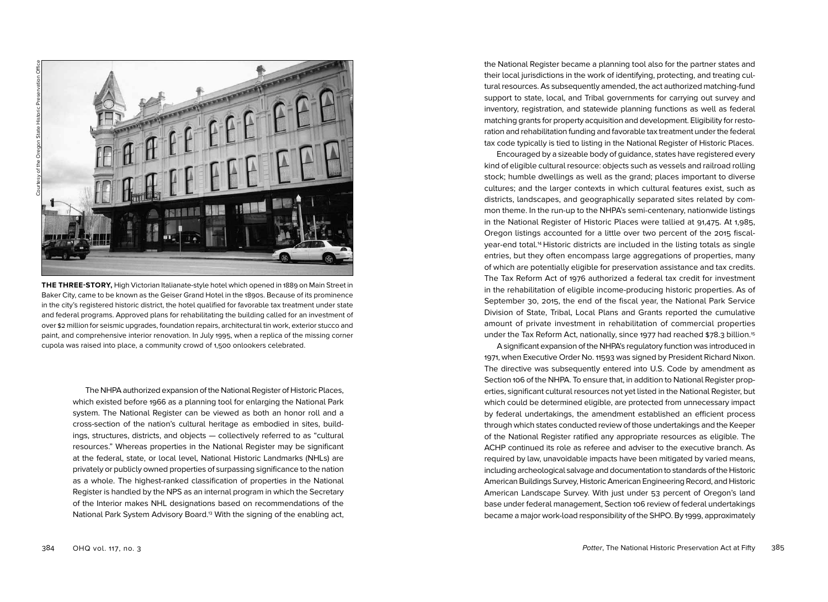

**THE THREE-STORY,** High Victorian Italianate-style hotel which opened in 1889 on Main Street in Baker City, came to be known as the Geiser Grand Hotel in the 1890s. Because of its prominence in the city's registered historic district, the hotel qualified for favorable tax treatment under state and federal programs. Approved plans for rehabilitating the building called for an investment of over \$2 million for seismic upgrades, foundation repairs, architectural tin work, exterior stucco and paint, and comprehensive interior renovation. In July 1995, when a replica of the missing corner cupola was raised into place, a community crowd of 1,500 onlookers celebrated.

The NHPA authorized expansion of the National Register of Historic Places, which existed before 1966 as a planning tool for enlarging the National Park system. The National Register can be viewed as both an honor roll and a cross-section of the nation's cultural heritage as embodied in sites, buildings, structures, districts, and objects — collectively referred to as "cultural resources." Whereas properties in the National Register may be significant at the federal, state, or local level, National Historic Landmarks (NHLs) are privately or publicly owned properties of surpassing significance to the nation as a whole. The highest-ranked classification of properties in the National Register is handled by the NPS as an internal program in which the Secretary of the Interior makes NHL designations based on recommendations of the National Park System Advisory Board.13 With the signing of the enabling act,

the National Register became a planning tool also for the partner states and their local jurisdictions in the work of identifying, protecting, and treating cultural resources. As subsequently amended, the act authorized matching-fund support to state, local, and Tribal governments for carrying out survey and inventory, registration, and statewide planning functions as well as federal matching grants for property acquisition and development. Eligibility for restoration and rehabilitation funding and favorable tax treatment under the federal tax code typically is tied to listing in the National Register of Historic Places.

Encouraged by a sizeable body of guidance, states have registered every kind of eligible cultural resource: objects such as vessels and railroad rolling stock; humble dwellings as well as the grand; places important to diverse cultures; and the larger contexts in which cultural features exist, such as districts, landscapes, and geographically separated sites related by common theme. In the run-up to the NHPA's semi-centenary, nationwide listings in the National Register of Historic Places were tallied at 91,475. At 1,985, Oregon listings accounted for a little over two percent of the 2015 fiscalyear-end total.14 Historic districts are included in the listing totals as single entries, but they often encompass large aggregations of properties, many of which are potentially eligible for preservation assistance and tax credits. The Tax Reform Act of 1976 authorized a federal tax credit for investment in the rehabilitation of eligible income-producing historic properties. As of September 30, 2015, the end of the fiscal year, the National Park Service Division of State, Tribal, Local Plans and Grants reported the cumulative amount of private investment in rehabilitation of commercial properties under the Tax Reform Act, nationally, since 1977 had reached \$78.3 billion.15

A significant expansion of the NHPA's regulatory function was introduced in 1971, when Executive Order No. 11593 was signed by President Richard Nixon. The directive was subsequently entered into U.S. Code by amendment as Section 106 of the NHPA. To ensure that, in addition to National Register properties, significant cultural resources not yet listed in the National Register, but which could be determined eligible, are protected from unnecessary impact by federal undertakings, the amendment established an efficient process through which states conducted review of those undertakings and the Keeper of the National Register ratified any appropriate resources as eligible. The ACHP continued its role as referee and adviser to the executive branch. As required by law, unavoidable impacts have been mitigated by varied means, including archeological salvage and documentation to standards of the Historic American Buildings Survey, Historic American Engineering Record, and Historic American Landscape Survey. With just under 53 percent of Oregon's land base under federal management, Section 106 review of federal undertakings became a major work-load responsibility of the SHPO. By 1999, approximately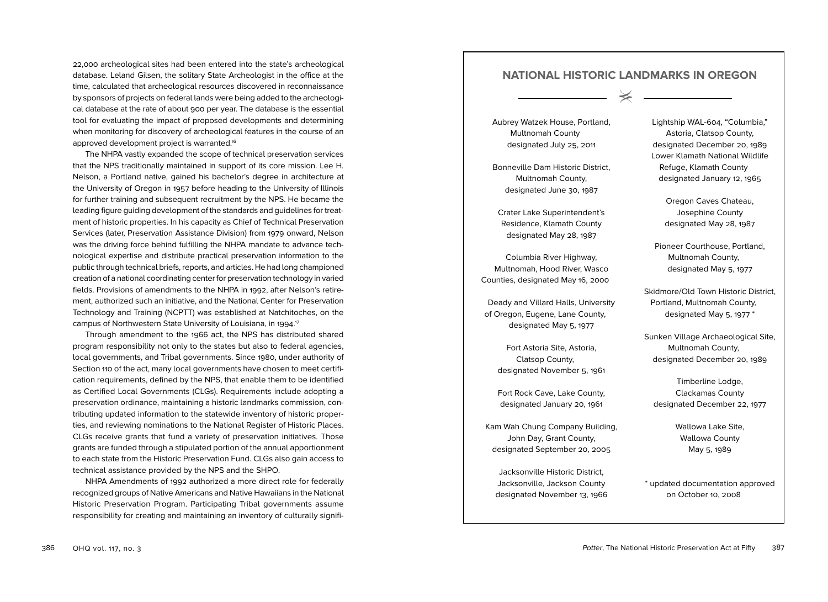22,000 archeological sites had been entered into the state's archeological database. Leland Gilsen, the solitary State Archeologist in the office at the time, calculated that archeological resources discovered in reconnaissance by sponsors of projects on federal lands were being added to the archeological database at the rate of about 900 per year. The database is the essential tool for evaluating the impact of proposed developments and determining when monitoring for discovery of archeological features in the course of an approved development project is warranted.<sup>16</sup>

The NHPA vastly expanded the scope of technical preservation services that the NPS traditionally maintained in support of its core mission. Lee H. Nelson, a Portland native, gained his bachelor's degree in architecture at the University of Oregon in 1957 before heading to the University of Illinois for further training and subsequent recruitment by the NPS. He became the leading figure guiding development of the standards and guidelines for treatment of historic properties. In his capacity as Chief of Technical Preservation Services (later, Preservation Assistance Division) from 1979 onward, Nelson was the driving force behind fulfilling the NHPA mandate to advance technological expertise and distribute practical preservation information to the public through technical briefs, reports, and articles. He had long championed creation of a national coordinating center for preservation technology in varied fields. Provisions of amendments to the NHPA in 1992, after Nelson's retirement, authorized such an initiative, and the National Center for Preservation Technology and Training (NCPTT) was established at Natchitoches, on the campus of Northwestern State University of Louisiana, in 1994. 17

Through amendment to the 1966 act, the NPS has distributed shared program responsibility not only to the states but also to federal agencies, local governments, and Tribal governments. Since 1980, under authority of Section 110 of the act, many local governments have chosen to meet certification requirements, defined by the NPS, that enable them to be identified as Certified Local Governments (CLGs). Requirements include adopting a preservation ordinance, maintaining a historic landmarks commission, contributing updated information to the statewide inventory of historic properties, and reviewing nominations to the National Register of Historic Places. CLGs receive grants that fund a variety of preservation initiatives. Those grants are funded through a stipulated portion of the annual apportionment to each state from the Historic Preservation Fund. CLGs also gain access to technical assistance provided by the NPS and the SHPO.

NHPA Amendments of 1992 authorized a more direct role for federally recognized groups of Native Americans and Native Hawaiians in the National Historic Preservation Program. Participating Tribal governments assume responsibility for creating and maintaining an inventory of culturally signifi-

## **NATIONAL HISTORIC LANDMARKS IN OREGON**

 $\hspace{1.5cm} \hspace{1.5cm} \hspace{1.5cm} \hspace{1.5cm} \hspace{1.5cm} \hspace{1.5cm} \hspace{1.5cm} \hspace{1.5cm} \hspace{1.5cm} \hspace{1.5cm} \hspace{1.5cm} \hspace{1.5cm} \hspace{1.5cm} \hspace{1.5cm} \hspace{1.5cm} \hspace{1.5cm} \hspace{1.5cm} \hspace{1.5cm} \hspace{1.5cm} \hspace{1.5cm} \hspace{1.5cm} \hspace{1.5cm} \hspace{1.5cm} \hspace{1.5cm} \hspace{$ 

Aubrey Watzek House, Portland, Multnomah County designated July 25, 2011

Bonneville Dam Historic District, Multnomah County, designated June 30, 1987

Crater Lake Superintendent's Residence, Klamath County designated May 28, 1987

Columbia River Highway, Multnomah, Hood River, Wasco Counties, designated May 16, 2000

Deady and Villard Halls, University of Oregon, Eugene, Lane County, designated May 5, 1977

> Fort Astoria Site, Astoria, Clatsop County, designated November 5, 1961

> Fort Rock Cave, Lake County, designated January 20, 1961

Kam Wah Chung Company Building, John Day, Grant County, designated September 20, 2005

Jacksonville Historic District, Jacksonville, Jackson County designated November 13, 1966 Lightship WAL-604, "Columbia," Astoria, Clatsop County, designated December 20, 1989 Lower Klamath National Wildlife Refuge, Klamath County designated January 12, 1965

> Oregon Caves Chateau, Josephine County designated May 28, 1987

Pioneer Courthouse, Portland, Multnomah County, designated May 5, 1977

Skidmore/Old Town Historic District Portland, Multnomah County, designated May 5, 1977 \*

Sunken Village Archaeological Site, Multnomah County, designated December 20, 1989

Timberline Lodge, Clackamas County designated December 22, 1977

> Wallowa Lake Site, Wallowa County May 5, 1989

\* updated documentation approved on October 10, 2008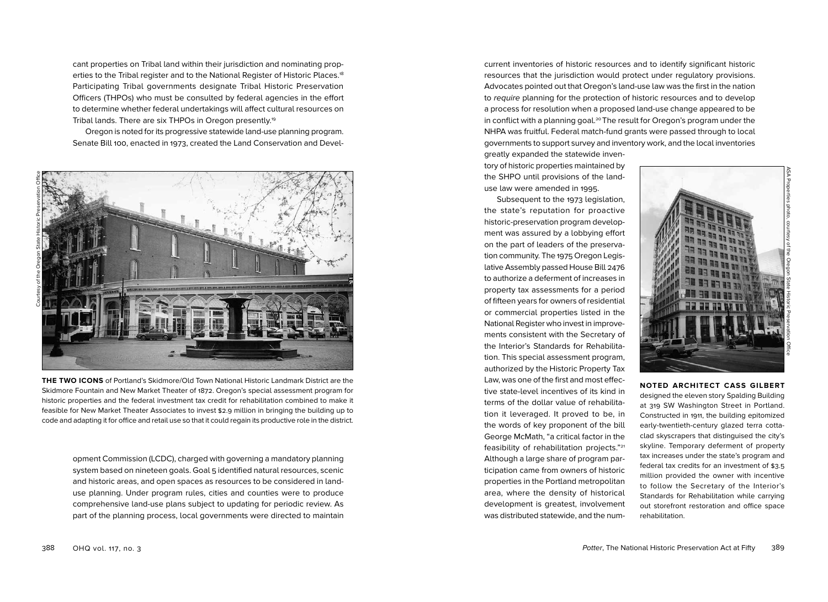cant properties on Tribal land within their jurisdiction and nominating properties to the Tribal register and to the National Register of Historic Places.18 Participating Tribal governments designate Tribal Historic Preservation Officers (THPOs) who must be consulted by federal agencies in the effort to determine whether federal undertakings will affect cultural resources on Tribal lands. There are six THPOs in Oregon presently.19

Oregon is noted for its progressive statewide land-use planning program. Senate Bill 100, enacted in 1973, created the Land Conservation and Devel-



**THE TWO ICONS** of Portland's Skidmore/Old Town National Historic Landmark District are the Skidmore Fountain and New Market Theater of 1872. Oregon's special assessment program for historic properties and the federal investment tax credit for rehabilitation combined to make it feasible for New Market Theater Associates to invest \$2.9 million in bringing the building up to code and adapting it for office and retail use so that it could regain its productive role in the district.

opment Commission (LCDC), charged with governing a mandatory planning system based on nineteen goals. Goal 5 identified natural resources, scenic and historic areas, and open spaces as resources to be considered in landuse planning. Under program rules, cities and counties were to produce comprehensive land-use plans subject to updating for periodic review. As part of the planning process, local governments were directed to maintain current inventories of historic resources and to identify significant historic resources that the jurisdiction would protect under regulatory provisions. Advocates pointed out that Oregon's land-use law was the first in the nation to require planning for the protection of historic resources and to develop a process for resolution when a proposed land-use change appeared to be in conflict with a planning goal.<sup>20</sup> The result for Oregon's program under the NHPA was fruitful. Federal match-fund grants were passed through to local governments to support survey and inventory work, and the local inventories

greatly expanded the statewide inventory of historic properties maintained by the SHPO until provisions of the landuse law were amended in 1995.

Subsequent to the 1973 legislation, the state's reputation for proactive historic-preservation program development was assured by a lobbying effort on the part of leaders of the preservation community. The 1975 Oregon Legislative Assembly passed House Bill 2476 to authorize a deferment of increases in property tax assessments for a period of fifteen years for owners of residential or commercial properties listed in the National Register who invest in improvements consistent with the Secretary of the Interior's Standards for Rehabilitation. This special assessment program, authorized by the Historic Property Tax Law, was one of the first and most effective state-level incentives of its kind in terms of the dollar value of rehabilitation it leveraged. It proved to be, in the words of key proponent of the bill George McMath, "a critical factor in the feasibility of rehabilitation projects."21 Although a large share of program participation came from owners of historic properties in the Portland metropolitan area, where the density of historical development is greatest, involvement was distributed statewide, and the num-



### **NOTED ARCHITECT CASS GILBERT**

designed the eleven story Spalding Building at 319 SW Washington Street in Portland. Constructed in 1911, the building epitomized early-twentieth-century glazed terra cottaclad skyscrapers that distinguised the city's skyline. Temporary deferment of property tax increases under the state's program and federal tax credits for an investment of \$3.5 million provided the owner with incentive to follow the Secretary of the Interior's Standards for Rehabilitation while carrying out storefront restoration and office space rehabilitation.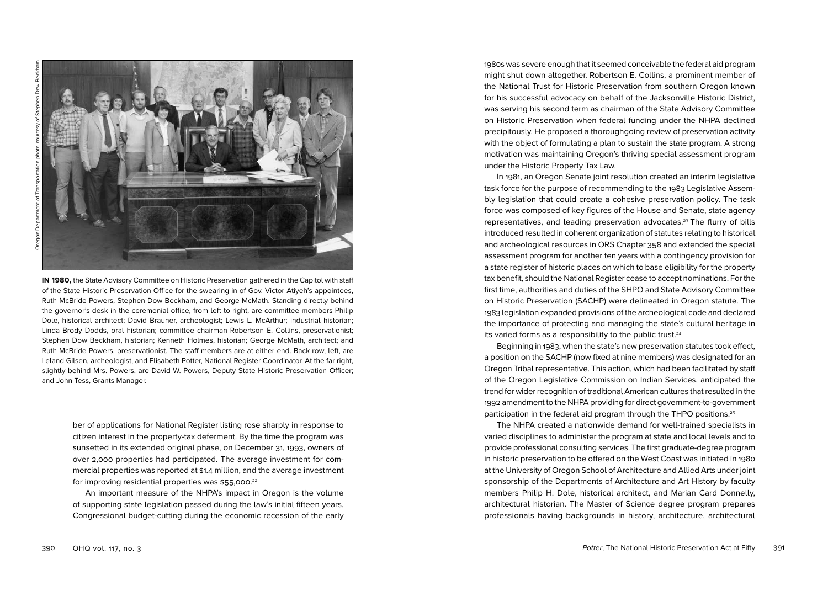

**IN 1980,** the State Advisory Committee on Historic Preservation gathered in the Capitol with staff of the State Historic Preservation Office for the swearing in of Gov. Victor Atiyeh's appointees, Ruth McBride Powers, Stephen Dow Beckham, and George McMath. Standing directly behind the governor's desk in the ceremonial office, from left to right, are committee members Philip Dole, historical architect; David Brauner, archeologist; Lewis L. McArthur; industrial historian; Linda Brody Dodds, oral historian; committee chairman Robertson E. Collins, preservationist; Stephen Dow Beckham, historian; Kenneth Holmes, historian; George McMath, architect; and Ruth McBride Powers, preservationist. The staff members are at either end. Back row, left, are Leland Gilsen, archeologist, and Elisabeth Potter, National Register Coordinator. At the far right, slightly behind Mrs. Powers, are David W. Powers, Deputy State Historic Preservation Officer; and John Tess, Grants Manager.

> ber of applications for National Register listing rose sharply in response to citizen interest in the property-tax deferment. By the time the program was sunsetted in its extended original phase, on December 31, 1993, owners of over 2 ,000 properties had participated. The average investment for com mercial properties was reported at \$ 1 . 4 million, and the average investment for improving residential properties was \$55,000.<sup>22</sup>

> An important measure of the NHPA's impact in Oregon is the volume of supporting state legislation passed during the law's initial fifteen years. Congressional budget-cutting during the economic recession of the early

1980s was severe enough that it seemed conceivable the federal aid program might shut down altogether. Robertson E. Collins, a prominent member of the National Trust for Historic Preservation from southern Oregon known for his successful advocacy on behalf of the Jacksonville Historic District, was serving his second term as chairman of the State Advisory Committee on Historic Preservation when federal funding under the NHPA declined precipitously. He proposed a thoroughgoing review of preservation activity with the object of formulating a plan to sustain the state program. A strong motivation was maintaining Oregon's thriving special assessment program under the Historic Property Tax Law.

In 1981, an Oregon Senate joint resolution created an interim legislative task force for the purpose of recommending to the 1983 Legislative Assem bly legislation that could create a cohesive preservation policy. The task force was composed of key figures of the House and Senate, state agency representatives, and leading preservation advocates.23 The flurry of bills introduced resulted in coherent organization of statutes relating to historical and archeological resources in ORS Chapter 358 and extended the special assessment program for another ten years with a contingency provision for a state register of historic places on which to base eligibility for the property tax benefit, should the National Register cease to accept nominations. For the first time, authorities and duties of the SHPO and State Advisory Committee on Historic Preservation (SACHP) were delineated in Oregon statute. The 1983 legislation expanded provisions of the archeological code and declared the importance of protecting and managing the state's cultural heritage in its varied forms as a responsibility to the public trust.<sup>24</sup>

Beginning in 1983, when the state's new preservation statutes took effect, a position on the SACHP (now fixed at nine members) was designated for an Oregon Tribal representative. This action, which had been facilitated by staff of the Oregon Legislative Commission on Indian Services, anticipated the trend for wider recognition of traditional American cultures that resulted in the 1992 amendment to the NHPA providing for direct government-to-government participation in the federal aid program through the THPO positions.25

The NHPA created a nationwide demand for well-trained specialists in varied disciplines to administer the program at state and local levels and to provide professional consulting services. The first graduate-degree program in historic preservation to be offered on the West Coast was initiated in 1980 at the University of Oregon School of Architecture and Allied Arts under joint sponsorship of the Departments of Architecture and Art History by faculty members Philip H. Dole, historical architect, and Marian Card Donnelly, architectural historian. The Master of Science degree program prepares professionals having backgrounds in history, architecture, architectural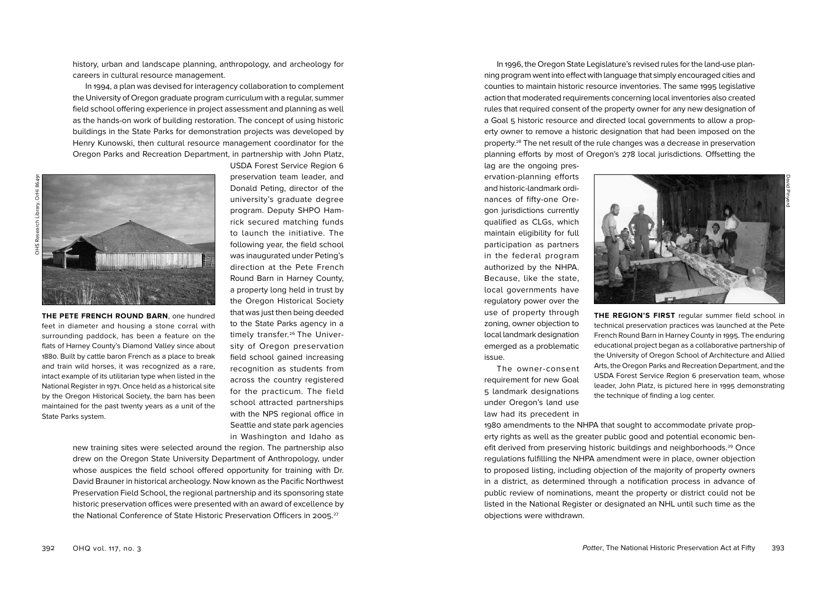careers in cultural resource management. In 1994, a plan was devised for interagency collaboration to complement the University of Oregon graduate program curriculum with a regular, summer

field school offering experience in project assessment and planning as well as the hands-on work of building restoration. The concept of using historic buildings in the State Parks for demonstration projects was developed by Henry Kunowski, then cultural resource management coordinator for the Oregon Parks and Recreation Department, in partnership with John Platz,

new training sites were selected around the region. The partnership also drew on the Oregon State University Department of Anthropology, under whose auspices the field school offered opportunity for training with Dr. David Brauner in historical archeology. Now known as the Pacific Northwest Preservation Field School, the regional partnership and its sponsoring state historic preservation offices were presented with an award of excellence by the National Conference of State Historic Preservation Officers in 2005. 27

history, urban and landscape planning, anthropology, and archeology for

**THE PETE FRENCH ROUND BARN**, one hundred feet in diameter and housing a stone corral with surrounding paddock, has been a feature on the flats of Harney County's Diamond Valley since about 1880. Built by cattle baron French as a place to break and train wild horses, it was recognized as a rare, intact example of its utilitarian type when listed in the National Register in 1971. Once held as a historical site by the Oregon Historical Society, the barn has been maintained for the past twenty years as a unit of the State Parks system.

USDA Forest Service Region 6 preservation team leader, and Donald Peting, director of the university's graduate degree program. Deputy SHPO Hamrick secured matching funds to launch the initiative. The following year, the field school was inaugurated under Peting's direction at the Pete French Round Barn in Harney County, a property long held in trust by the Oregon Historical Society that was just then being deeded to the State Parks agency in a timely transfer.<sup>26</sup> The University of Oregon preservation field school gained increasing recognition as students from across the country registered for the practicum. The field school attracted partnerships with the NPS regional office in Seattle and state park agencies in Washington and Idaho as

a Goal 5 historic resource and directed local governments to allow a property owner to remove a historic designation that had been imposed on the property.28 The net result of the rule changes was a decrease in preservation planning efforts by most of Oregon's 278 local jurisdictions. Offsetting the lag are the ongoing preservation-planning efforts and historic-landmark ordinances of fifty-one Oregon jurisdictions currently

qualified as CLGs, which maintain eligibility for full participation as partners in the federal program authorized by the NHPA. Because, like the state, local governments have regulatory power over the use of property through zoning, owner objection to local landmark designation emerged as a problematic issue.

The owner-consent requirement for new Goal 5 landmark designations under Oregon's land use law had its precedent in **THE REGION'S FIRST** regular summer field school in technical preservation practices was launched at the Pete French Round Barn in Harney County in 1995. The enduring educational project began as a collaborative partnership of the University of Oregon School of Architecture and Allied Arts, the Oregon Parks and Recreation Department, and the USDA Forest Service Region 6 preservation team, whose leader, John Platz, is pictured here in 1995 demonstrating the technique of finding a log center.

David Pinyerd

1980 amendments to the NHPA that sought to accommodate private property rights as well as the greater public good and potential economic benefit derived from preserving historic buildings and neighborhoods.<sup>29</sup> Once regulations fulfilling the NHPA amendment were in place, owner objection to proposed listing, including objection of the majority of property owners in a district, as determined through a notification process in advance of public review of nominations, meant the property or district could not be listed in the National Register or designated an NHL until such time as the objections were withdrawn.

In 1996, the Oregon State Legislature's revised rules for the land-use planning program went into effect with language that simply encouraged cities and counties to maintain historic resource inventories. The same 1995 legislative action that moderated requirements concerning local inventories also created rules that required consent of the property owner for any new designation of

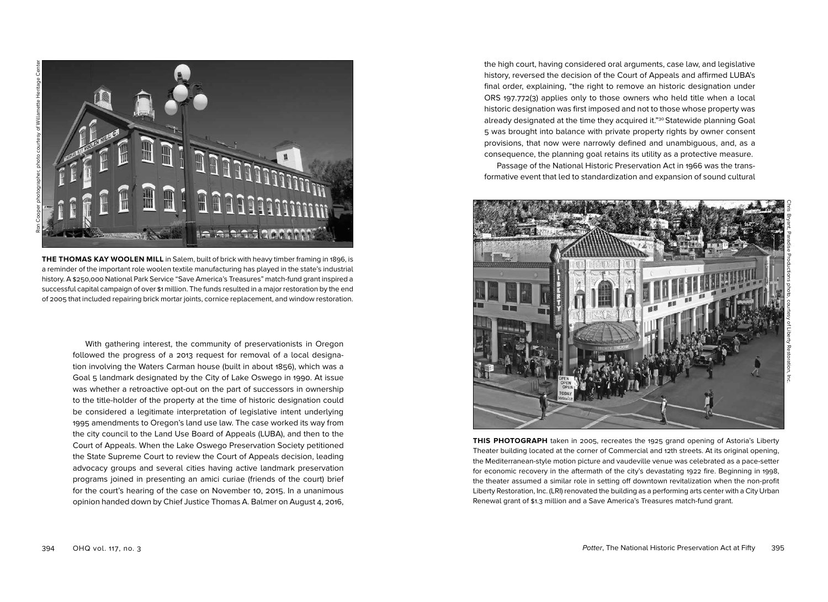

**THE THOMAS KAY WOOLEN MILL** in Salem, built of brick with heavy timber framing in 1896, is a reminder of the important role woolen textile manufacturing has played in the state's industrial history. A \$250,000 National Park Service "Save America's Treasures" match-fund grant inspired a successful capital campaign of over \$1 million. The funds resulted in a major restoration by the end of 2005 that included repairing brick mortar joints, cornice replacement, and window restoration.

With gathering interest, the community of preservationists in Oregon followed the progress of a 2013 request for removal of a local designation involving the Waters Carman house (built in about 1856), which was a Goal 5 landmark designated by the City of Lake Oswego in 1990. At issue was whether a retroactive opt-out on the part of successors in ownership to the title-holder of the property at the time of historic designation could be considered a legitimate interpretation of legislative intent underlying 1995 amendments to Oregon's land use law. The case worked its way from the city council to the Land Use Board of Appeals (LUBA), and then to the Court of Appeals. When the Lake Oswego Preservation Society petitioned the State Supreme Court to review the Court of Appeals decision, leading advocacy groups and several cities having active landmark preservation programs joined in presenting an amici curiae (friends of the court) brief for the court's hearing of the case on November 10, 2015. In a unanimous opinion handed down by Chief Justice Thomas A. Balmer on August 4, 2016,

the high court, having considered oral arguments, case law, and legislative history, reversed the decision of the Court of Appeals and affirmed LUBA's final order, explaining, "the right to remove an historic designation under ORS 197.772(3) applies only to those owners who held title when a local historic designation was first imposed and not to those whose property was already designated at the time they acquired it."<sup>30</sup> Statewide planning Goal 5 was brought into balance with private property rights by owner consent provisions, that now were narrowly defined and unambiguous, and, as a consequence, the planning goal retains its utility as a protective measure.

Passage of the National Historic Preservation Act in 1966 was the transformative event that led to standardization and expansion of sound cultural



**THIS PHOTOGRAPH** taken in 2005, recreates the 1925 grand opening of Astoria's Liberty Theater building located at the corner of Commercial and 12th streets. At its original opening, the Mediterranean-style motion picture and vaudeville venue was celebrated as a pace-setter for economic recovery in the aftermath of the city's devastating 1922 fire. Beginning in 1998, the theater assumed a similar role in setting off downtown revitalization when the non-profit Liberty Restoration, Inc. (LRI) renovated the building as a performing arts center with a City Urban Renewal grant of \$1.3 million and a Save America's Treasures match-fund grant.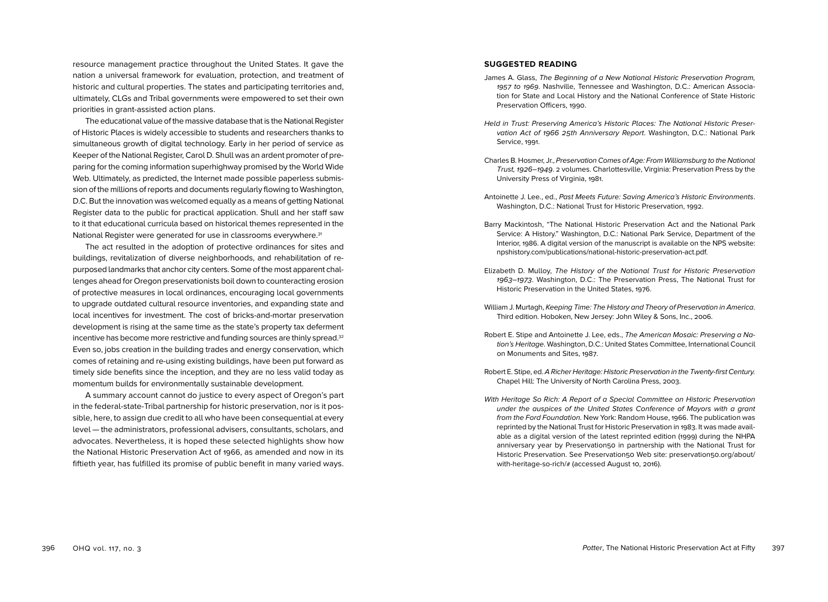resource management practice throughout the United States. It gave the nation a universal framework for evaluation, protection, and treatment of historic and cultural properties. The states and participating territories and, ultimately, CLGs and Tribal governments were empowered to set their own priorities in grant-assisted action plans.

The educational value of the massive database that is the National Register of Historic Places is widely accessible to students and researchers thanks to simultaneous growth of digital technology. Early in her period of service as Keeper of the National Register, Carol D. Shull was an ardent promoter of preparing for the coming information superhighway promised by the World Wide Web. Ultimately, as predicted, the Internet made possible paperless submission of the millions of reports and documents regularly flowing to Washington, D.C. But the innovation was welcomed equally as a means of getting National Register data to the public for practical application. Shull and her staff saw to it that educational curricula based on historical themes represented in the National Register were generated for use in classrooms everywhere.31

The act resulted in the adoption of protective ordinances for sites and buildings, revitalization of diverse neighborhoods, and rehabilitation of repurposed landmarks that anchor city centers. Some of the most apparent challenges ahead for Oregon preservationists boil down to counteracting erosion of protective measures in local ordinances, encouraging local governments to upgrade outdated cultural resource inventories, and expanding state and local incentives for investment. The cost of bricks-and-mortar preservation development is rising at the same time as the state's property tax deferment incentive has become more restrictive and funding sources are thinly spread.<sup>32</sup> Even so, jobs creation in the building trades and energy conservation, which comes of retaining and re-using existing buildings, have been put forward as timely side benefits since the inception, and they are no less valid today as momentum builds for environmentally sustainable development.

A summary account cannot do justice to every aspect of Oregon's part in the federal-state-Tribal partnership for historic preservation, nor is it possible, here, to assign due credit to all who have been consequential at every level — the administrators, professional advisers, consultants, scholars, and advocates. Nevertheless, it is hoped these selected highlights show how the National Historic Preservation Act of 1966, as amended and now in its fiftieth year, has fulfilled its promise of public benefit in many varied ways.

#### **SUGGESTED READING**

- James A. Glass, The Beginning of a New National Historic Preservation Program, 1957 to 1969. Nashville, Tennessee and Washington, D.C.: American Association for State and Local History and the National Conference of State Historic Preservation Officers, 1990.
- Held in Trust: Preserving America's Historic Places: The National Historic Preservation Act of 1966 25th Anniversary Report. Washington, D.C.: National Park Service, 1991.
- Charles B. Hosmer, Jr., Preservation Comes of Age: From Williamsburg to the National Trust, 1926–1949. 2 volumes. Charlottesville, Virginia: Preservation Press by the University Press of Virginia, 1981.
- Antoinette J. Lee., ed., Past Meets Future: Saving America's Historic Environments. Washington, D.C.: National Trust for Historic Preservation, 1992.
- Barry Mackintosh, "The National Historic Preservation Act and the National Park Service: A History." Washington, D.C.: National Park Service, Department of the Interior, 1986. A digital version of the manuscript is available on the NPS website: npshistory.com/publications/national-historic-preservation-act.pdf.
- Elizabeth D. Mulloy, The History of the National Trust for Historic Preservation 1963–1973. Washington, D.C.: The Preservation Press, The National Trust for Historic Preservation in the United States, 1976.
- William J. Murtagh, Keeping Time: The History and Theory of Preservation in America. Third edition. Hoboken, New Jersey: John Wiley & Sons, Inc., 2006.
- Robert E. Stipe and Antoinette J. Lee, eds., The American Mosaic: Preserving a Nation's Heritage. Washington, D.C.: United States Committee, International Council on Monuments and Sites, 1987.
- Robert E. Stipe, ed. A Richer Heritage: Historic Preservation in the Twenty-first Century. Chapel Hill: The University of North Carolina Press, 2003.
- With Heritage So Rich: A Report of a Special Committee on Historic Preservation under the auspices of the United States Conference of Mayors with a grant from the Ford Foundation. New York: Random House, 1966. The publication was reprinted by the National Trust for Historic Preservation in 1983. It was made available as a digital version of the latest reprinted edition (1999) during the NHPA anniversary year by Preservation50 in partnership with the National Trust for Historic Preservation. See Preservation50 Web site: preservation50.org/about/ with-heritage-so-rich/# (accessed August 10, 2016).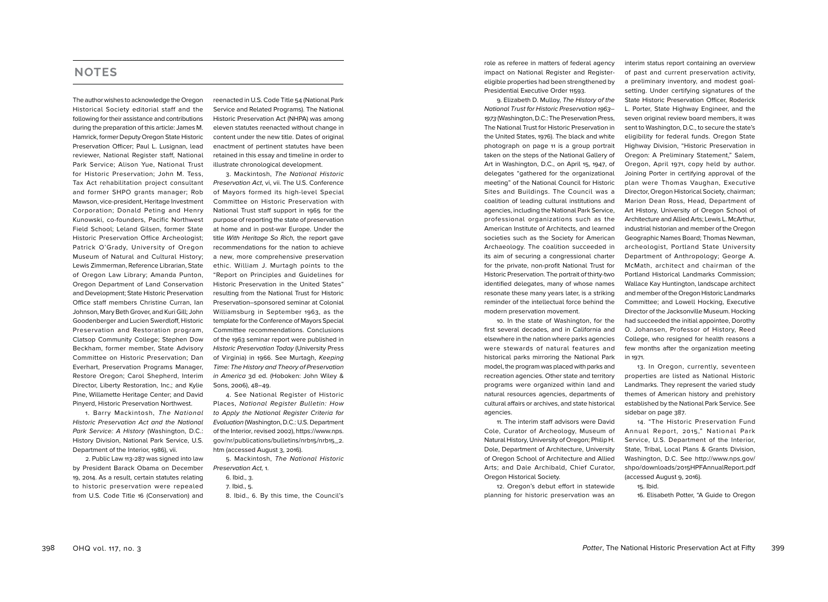## **NOTES**

The author wishes to acknowledge the Oregon Historical Society editorial staff and the following for their assistance and contributions during the preparation of this article: James M. Hamrick, former Deputy Oregon State Historic Preservation Officer; Paul L. Lusignan, lead reviewer, National Register staff, National Park Service; Alison Yue, National Trust for Historic Preservation; John M. Tess, Tax Act rehabilitation project consultant and former SHPO grants manager; Rob Mawson, vice-president, Heritage Investment Corporation; Donald Peting and Henry Kunowski, co-founders, Pacific Northwest Field School; Leland Gilsen, former State Historic Preservation Office Archeologist; Patrick O'Grady, University of Oregon Museum of Natural and Cultural History; Lewis Zimmerman, Reference Librarian, State of Oregon Law Library; Amanda Punton, Oregon Department of Land Conservation and Development; State Historic Preservation Office staff members Christine Curran, Ian Johnson, Mary Beth Grover, and Kuri Gill; John Goodenberger and Lucien Swerdloff, Historic Preservation and Restoration program, Clatsop Community College; Stephen Dow Beckham, former member, State Advisory Committee on Historic Preservation; Dan Everhart, Preservation Programs Manager, Restore Oregon; Carol Shepherd, Interim Director, Liberty Restoration, Inc.; and Kylie Pine, Willamette Heritage Center; and David Pinyerd, Historic Preservation Northwest.

1. Barry Mackintosh, The National Historic Preservation Act and the National Park Service: A History (Washington, D.C.: History Division, National Park Service, U.S. Department of the Interior, 1986), vii.

2. Public Law 113-287 was signed into law by President Barack Obama on December 19, 2014. As a result, certain statutes relating to historic preservation were repealed from U.S. Code Title 16 (Conservation) and

reenacted in U.S. Code Title 54 (National Park Service and Related Programs). The National Historic Preservation Act (NHPA) was among eleven statutes reenacted without change in content under the new title. Dates of original enactment of pertinent statutes have been retained in this essay and timeline in order to illustrate chronological development.

3. Mackintosh, The National Historic Preservation Act, vi, vii. The U.S. Conference of Mayors formed its high-level Special Committee on Historic Preservation with National Trust staff support in 1965 for the purpose of reporting the state of preservation at home and in post-war Europe. Under the title With Heritage So Rich, the report gave recommendations for the nation to achieve a new, more comprehensive preservation ethic. William J. Murtagh points to the "Report on Principles and Guidelines for Historic Preservation in the United States" resulting from the National Trust for Historic Preservation–sponsored seminar at Colonial Williamsburg in September 1963, as the template for the Conference of Mayors Special Committee recommendations. Conclusions of the 1963 seminar report were published in Historic Preservation Today (University Press of Virginia) in 1966. See Murtagh, Keeping Time: The History and Theory of Preservation in America 3d ed. (Hoboken: John Wiley & Sons, 2006), 48–49.

4. See National Register of Historic Places, National Register Bulletin: How to Apply the National Register Criteria for Evaluation (Washington, D.C.: U.S. Department of the Interior, revised 2002), https://www.nps. gov/nr/publications/bulletins/nrb15/nrb15\_2. htm (accessed August 3, 2016).

5. Mackintosh, The National Historic Preservation Act, 1.

- 6. Ibid., 3.
- 7. Ibid., 5.

8. Ibid., 6. By this time, the Council's

role as referee in matters of federal agency impact on National Register and Registereligible properties had been strengthened by Presidential Executive Order 11593.

9. Elizabeth D. Mulloy, The History of the National Trust for Historic Preservation 1963– 1973 (Washington, D.C.: The Preservation Press, The National Trust for Historic Preservation in the United States, 1976). The black and white photograph on page 11 is a group portrait taken on the steps of the National Gallery of Art in Washington, D.C., on April 15, 1947, of delegates "gathered for the organizational meeting" of the National Council for Historic Sites and Buildings. The Council was a coalition of leading cultural institutions and agencies, including the National Park Service, professional organizations such as the American Institute of Architects, and learned societies such as the Society for American Archaeology. The coalition succeeded in its aim of securing a congressional charter for the private, non-profit National Trust for Historic Preservation. The portrait of thirty-two identified delegates, many of whose names resonate these many years later, is a striking reminder of the intellectual force behind the modern preservation movement.

10. In the state of Washington, for the first several decades, and in California and elsewhere in the nation where parks agencies were stewards of natural features and historical parks mirroring the National Park model, the program was placed with parks and recreation agencies. Other state and territory programs were organized within land and natural resources agencies, departments of cultural affairs or archives, and state historical agencies.

11. The interim staff advisors were David Cole, Curator of Archeology, Museum of Natural History, University of Oregon; Philip H. Dole, Department of Architecture, University of Oregon School of Architecture and Allied Arts; and Dale Archibald, Chief Curator, Oregon Historical Society.

12. Oregon's debut effort in statewide planning for historic preservation was an

interim status report containing an overview of past and current preservation activity, a preliminary inventory, and modest goalsetting. Under certifying signatures of the State Historic Preservation Officer, Roderick L. Porter, State Highway Engineer, and the seven original review board members, it was sent to Washington, D.C., to secure the state's eligibility for federal funds. Oregon State Highway Division, "Historic Preservation in Oregon: A Preliminary Statement," Salem, Oregon, April 1971, copy held by author. Joining Porter in certifying approval of the plan were Thomas Vaughan, Executive Director, Oregon Historical Society, chairman; Marion Dean Ross, Head, Department of Art History, University of Oregon School of Architecture and Allied Arts; Lewis L. McArthur, industrial historian and member of the Oregon Geographic Names Board; Thomas Newman, archeologist, Portland State University Department of Anthropology; George A. McMath, architect and chairman of the Portland Historical Landmarks Commission; Wallace Kay Huntington, landscape architect and member of the Oregon Historic Landmarks Committee; and Lowell Hocking, Executive Director of the Jacksonville Museum. Hocking had succeeded the initial appointee, Dorothy O. Johansen, Professor of History, Reed College, who resigned for health reasons a few months after the organization meeting in 1971.

13. In Oregon, currently, seventeen properties are listed as National Historic Landmarks. They represent the varied study themes of American history and prehistory established by the National Park Service. See sidebar on page 387.

14. "The Historic Preservation Fund Annual Report, 2015," National Park Service, U.S. Department of the Interior, State, Tribal, Local Plans & Grants Division, Washington, D.C. See http://www.nps.gov/ shpo/downloads/2015HPFAnnualReport.pdf (accessed August 9, 2016).

15. Ibid.

16. Elisabeth Potter, "A Guide to Oregon